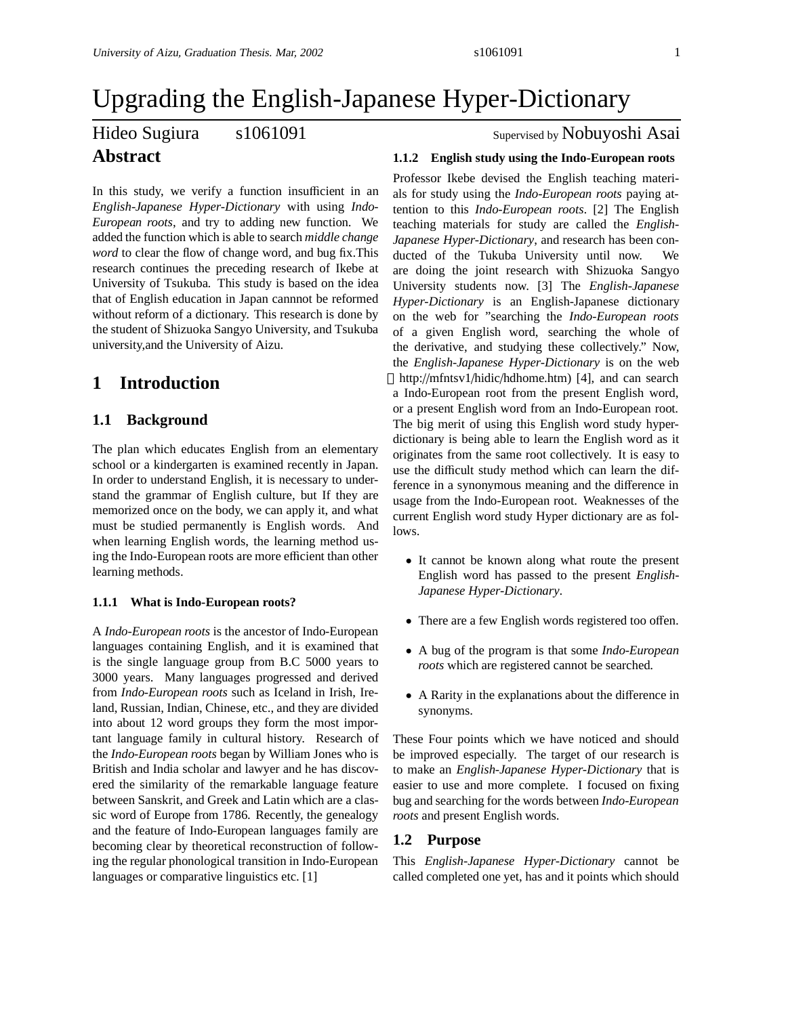# Upgrading the English-Japanese Hyper-Dictionary

## Hideo Sugiura s1061091 Supervised by Nobuyoshi Asai **Abstract**

In this study, we verify a function insufficient in an *English-Japanese Hyper-Dictionary* with using *Indo-European roots*, and try to adding new function. We added the function which is able to search *middle change word* to clear the flow of change word, and bug fix.This research continues the preceding research of Ikebe at University of Tsukuba. This study is based on the idea that of English education in Japan cannnot be reformed without reform of a dictionary. This research is done by the student of Shizuoka Sangyo University, and Tsukuba university,and the University of Aizu.

## **1 Introduction**

### **1.1 Background**

The plan which educates English from an elementary school or a kindergarten is examined recently in Japan. In order to understand English, it is necessary to understand the grammar of English culture, but If they are memorized once on the body, we can apply it, and what must be studied permanently is English words. And when learning English words, the learning method using the Indo-European roots are more efficient than other learning methods.

#### **1.1.1 What is Indo-European roots?**

A *Indo-European roots* is the ancestor of Indo-European languages containing English, and it is examined that is the single language group from B.C 5000 years to 3000 years. Many languages progressed and derived from *Indo-European roots* such as Iceland in Irish, Ireland, Russian, Indian, Chinese, etc., and they are divided into about 12 word groups they form the most important language family in cultural history. Research of the *Indo-European roots* began by William Jones who is British and India scholar and lawyer and he has discovered the similarity of the remarkable language feature between Sanskrit, and Greek and Latin which are a classic word of Europe from 1786. Recently, the genealogy and the feature of Indo-European languages family are becoming clear by theoretical reconstruction of following the regular phonological transition in Indo-European languages or comparative linguistics etc. [1]

#### **1.1.2 English study using the Indo-European roots**

Professor Ikebe devised the English teaching materials for study using the *Indo-European roots* paying attention to this *Indo-European roots*. [2] The English teaching materials for study are called the *English-Japanese Hyper-Dictionary*, and research has been conducted of the Tukuba University until now. We are doing the joint research with Shizuoka Sangyo University students now. [3] The *English-Japanese Hyper-Dictionary* is an English-Japanese dictionary on the web for "searching the *Indo-European roots* of a given English word, searching the whole of the derivative, and studying these collectively." Now, the *English-Japanese Hyper-Dictionary* is on the web http://mfntsv1/hidic/hdhome.htm) [4], and can search a Indo-European root from the present English word, or a present English word from an Indo-European root. The big merit of using this English word study hyperdictionary is being able to learn the English word as it originates from the same root collectively. It is easy to use the difficult study method which can learn the difference in a synonymous meaning and the difference in usage from the Indo-European root. Weaknesses of the current English word study Hyper dictionary are as follows.

- It cannot be known along what route the present English word has passed to the present *English-Japanese Hyper-Dictionary*.
- There are a few English words registered too offen.
- A bug of the program is that some *Indo-European roots* which are registered cannot be searched.
- A Rarity in the explanations about the difference in synonyms.

These Four points which we have noticed and should be improved especially. The target of our research is to make an *English-Japanese Hyper-Dictionary* that is easier to use and more complete. I focused on fixing bug and searching for the words between *Indo-European roots* and present English words.

#### **1.2 Purpose**

This *English-Japanese Hyper-Dictionary* cannot be called completed one yet, has and it points which should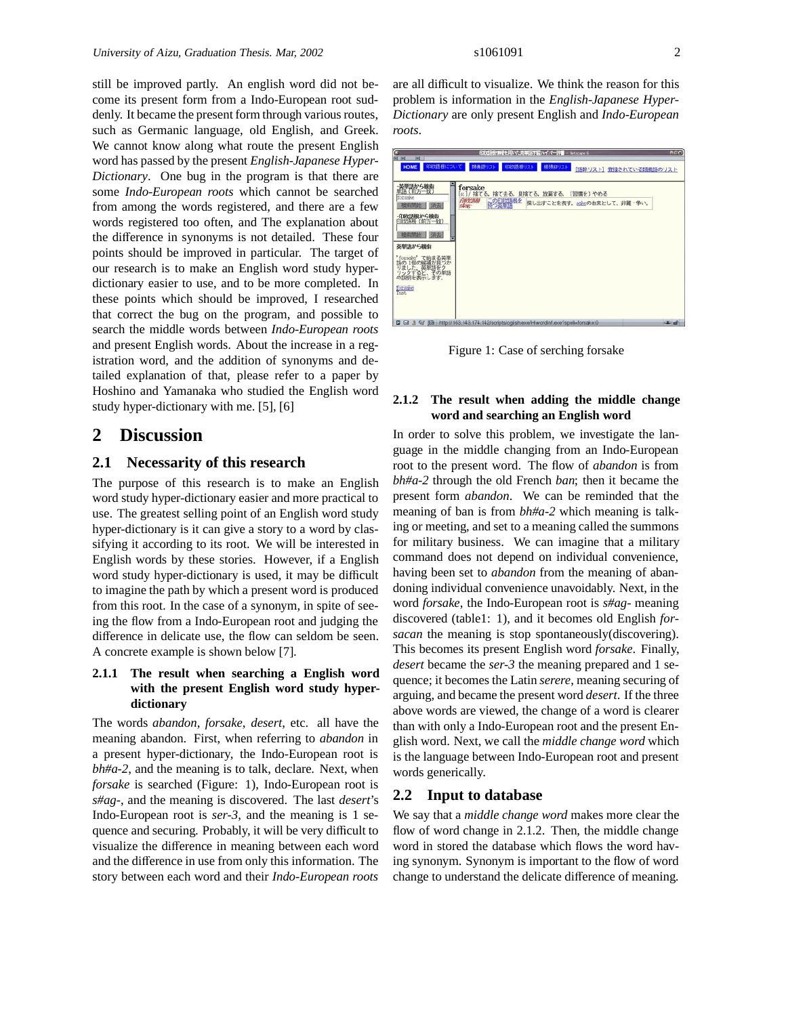still be improved partly. An english word did not become its present form from a Indo-European root suddenly. It became the present form through various routes, such as Germanic language, old English, and Greek. We cannot know along what route the present English word has passed by the present *English-Japanese Hyper-Dictionary*. One bug in the program is that there are some *Indo-European roots* which cannot be searched from among the words registered, and there are a few words registered too often, and The explanation about the difference in synonyms is not detailed. These four points should be improved in particular. The target of our research is to make an English word study hyperdictionary easier to use, and to be more completed. In these points which should be improved, I researched that correct the bug on the program, and possible to search the middle words between *Indo-European roots* and present English words. About the increase in a registration word, and the addition of synonyms and detailed explanation of that, please refer to a paper by Hoshino and Yamanaka who studied the English word study hyper-dictionary with me. [5], [6]

## **2 Discussion**

#### **2.1 Necessarity of this research**

The purpose of this research is to make an English word study hyper-dictionary easier and more practical to use. The greatest selling point of an English word study hyper-dictionary is it can give a story to a word by classifying it according to its root. We will be interested in English words by these stories. However, if a English word study hyper-dictionary is used, it may be difficult to imagine the path by which a present word is produced from this root. In the case of a synonym, in spite of seeing the flow from a Indo-European root and judging the difference in delicate use, the flow can seldom be seen. A concrete example is shown below [7].

#### **2.1.1 The result when searching a English word with the present English word study hyperdictionary**

The words *abandon*, *forsake*, *desert*, etc. all have the meaning abandon. First, when referring to *abandon* in a present hyper-dictionary, the Indo-European root is *bh#a-2*, and the meaning is to talk, declare. Next, when *forsake* is searched (Figure: 1), Indo-European root is *s#ag-*, and the meaning is discovered. The last *desert*'s Indo-European root is *ser-3*, and the meaning is 1 sequence and securing. Probably, it will be very difficult to visualize the difference in meaning between each word and the difference in use from only this information. The story between each word and their *Indo-European roots*

are all difficult to visualize. We think the reason for this problem is information in the *English-Japanese Hyper-Dictionary* are only present English and *Indo-European roots*.

| 自動培養情報を用いた英単語学習ハイパー評書 - Netscape 6<br>同 医<br>w                                                                                                                                                                                                                                                                   | <b>AGR</b> |
|------------------------------------------------------------------------------------------------------------------------------------------------------------------------------------------------------------------------------------------------------------------------------------------------------------------|------------|
| 印刷語根について<br>類義語リスト<br>印歌語根リスト<br>HOME<br>機頭辞リスト<br>[語幹リスト] 登録されている類義語のリスト                                                                                                                                                                                                                                        |            |
| 英単語から検索<br>forsake<br>$(17.5 - 1)$<br>[ω]/ 捨てる。捨て去る。見捨てる。放棄する。<br>(習慣を)やめる<br>forsake<br>印度北海根<br>この印刷紙を<br>探し出すことを表す。おかの由来として、非難・争い。<br>消去<br>棉装调除<br>silor-<br>- 自欧語根から検索<br>印取語根 (前方一致)<br>検索開始 消去<br>英里浜から検索<br>、て始まる英単<br>の挨捕が見つか<br>forsake"<br>りました、英単語をク<br>リックすると、その単語<br>の説明を表示します。<br>forsake<br>Test |            |
| □ → & 9' 53 http://163.143.174.142/scripts/cgi/sh.exe/Hiwordinf.exe?speli=forsake:0                                                                                                                                                                                                                              | $-100$     |

Figure 1: Case of serching forsake

#### **2.1.2 The result when adding the middle change word and searching an English word**

In order to solve this problem, we investigate the language in the middle changing from an Indo-European root to the present word. The flow of *abandon* is from *bh#a-2* through the old French *ban*; then it became the present form *abandon*. We can be reminded that the meaning of ban is from *bh#a-2* which meaning is talking or meeting, and set to a meaning called the summons for military business. We can imagine that a military command does not depend on individual convenience, having been set to *abandon* from the meaning of abandoning individual convenience unavoidably. Next, in the word *forsake*, the Indo-European root is *s#ag-* meaning discovered (table1: 1), and it becomes old English *forsacan* the meaning is stop spontaneously(discovering). This becomes its present English word *forsake*. Finally, *desert* became the *ser-3* the meaning prepared and 1 sequence; it becomes the Latin *serere*, meaning securing of arguing, and became the present word *desert*. If the three above words are viewed, the change of a word is clearer than with only a Indo-European root and the present English word. Next, we call the *middle change word* which is the language between Indo-European root and present words generically.

#### **2.2 Input to database**

We say that a *middle change word* makes more clear the flow of word change in 2.1.2. Then, the middle change word in stored the database which flows the word having synonym. Synonym is important to the flow of word change to understand the delicate difference of meaning.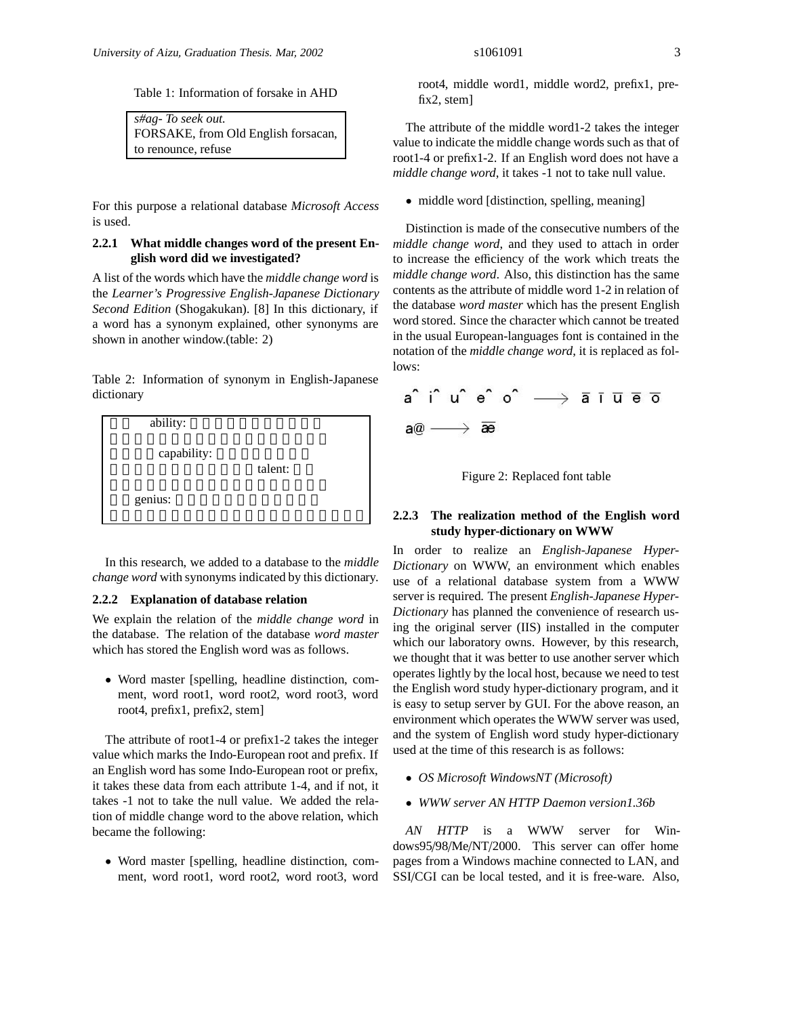Table 1: Information of forsake in AHD

| $s\#ag$ - To seek out.              |
|-------------------------------------|
| FORSAKE, from Old English forsacan, |
| to renounce, refuse                 |

For this purpose a relational database *Microsoft Access* is used.

#### **2.2.1 What middle changes word of the present English word did we investigated?**

A list of the words which have the *middle change word* is the *Learner's Progressive English-Japanese Dictionary Second Edition* (Shogakukan). [8] In this dictionary, if a word has a synonym explained, other synonyms are shown in another window.(table: 2)

Table 2: Information of synonym in English-Japanese dictionary



In this research, we added to a database to the *middle change word* with synonyms indicated by this dictionary.

#### **2.2.2 Explanation of database relation**

We explain the relation of the *middle change word* in the database. The relation of the database *word master* which has stored the English word was as follows.

• Word master [spelling, headline distinction, comment, word root1, word root2, word root3, word root4, prefix1, prefix2, stem]

The attribute of root1-4 or prefix1-2 takes the integer value which marks the Indo-European root and prefix. If an English word has some Indo-European root or prefix, it takes these data from each attribute 1-4, and if not, it takes -1 not to take the null value. We added the relation of middle change word to the above relation, which became the following:

• Word master [spelling, headline distinction, comment, word root1, word root2, word root3, word

root4, middle word1, middle word2, prefix1, prefix2, stem]

The attribute of the middle word1-2 takes the integer value to indicate the middle change words such as that of root1-4 or prefix1-2. If an English word does not have a *middle change word*, it takes -1 not to take null value.

• middle word [distinction, spelling, meaning]

Distinction is made of the consecutive numbers of the *middle change word*, and they used to attach in order to increase the efficiency of the work which treats the *middle change word*. Also, this distinction has the same contents as the attribute of middle word 1-2 in relation of the database *word master* which has the present English word stored. Since the character which cannot be treated in the usual European-languages font is contained in the notation of the *middle change word*, it is replaced as follows:



Figure 2: Replaced font table

#### **2.2.3 The realization method of the English word study hyper-dictionary on WWW**

In order to realize an *English-Japanese Hyper-Dictionary* on WWW, an environment which enables use of a relational database system from a WWW server is required. The present *English-Japanese Hyper-Dictionary* has planned the convenience of research using the original server (IIS) installed in the computer which our laboratory owns. However, by this research, we thought that it was better to use another server which operates lightly by the local host, because we need to test the English word study hyper-dictionary program, and it is easy to setup server by GUI. For the above reason, an environment which operates the WWW server was used, and the system of English word study hyper-dictionary used at the time of this research is as follows:

- *OS Microsoft WindowsNT (Microsoft)*
- *WWW server AN HTTP Daemon version1.36b*

*AN HTTP* is a WWW server for Windows95/98/Me/NT/2000. This server can offer home pages from a Windows machine connected to LAN, and SSI/CGI can be local tested, and it is free-ware. Also,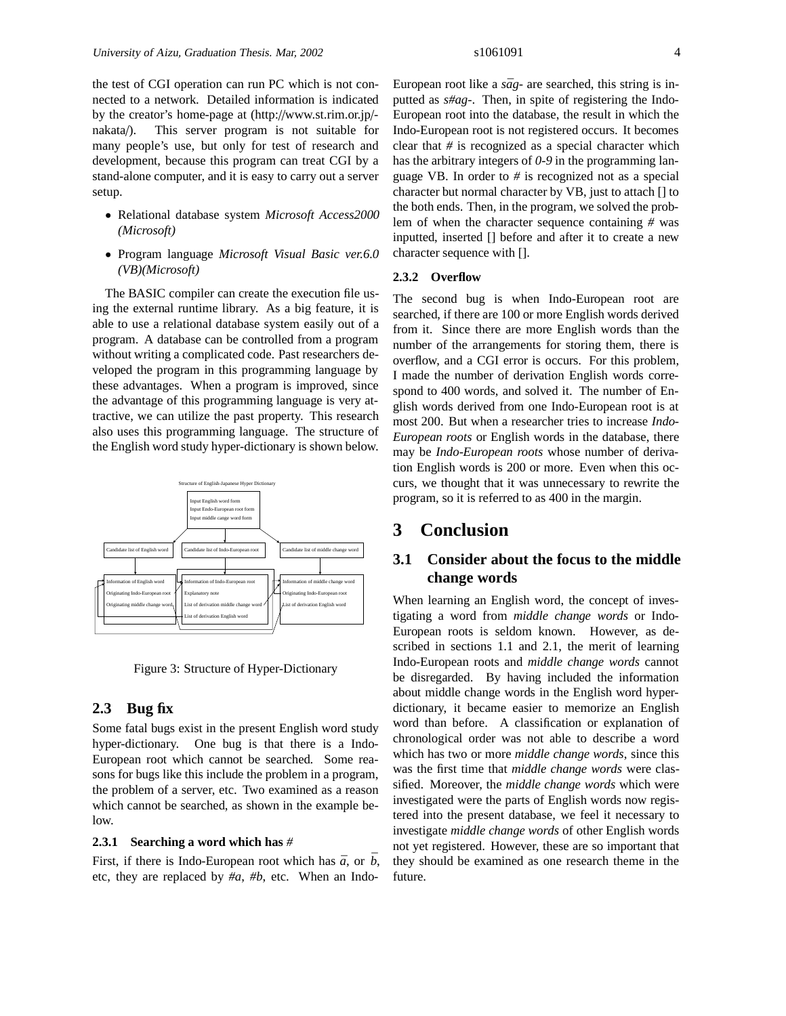the test of CGI operation can run PC which is not connected to a network. Detailed information is indicated by the creator's home-page at (http://www.st.rim.or.jp/ nakata/). This server program is not suitable for many people's use, but only for test of research and development, because this program can treat CGI by a stand-alone computer, and it is easy to carry out a server setup.

- Relational database system *Microsoft Access2000 (Microsoft)*
- Program language *Microsoft Visual Basic ver.6.0 (VB)(Microsoft)*

The BASIC compiler can create the execution file using the external runtime library. As a big feature, it is able to use a relational database system easily out of a program. A database can be controlled from a program without writing a complicated code. Past researchers developed the program in this programming language by these advantages. When a program is improved, since the advantage of this programming language is very attractive, we can utilize the past property. This research also uses this programming language. The structure of the English word study hyper-dictionary is shown below.



Figure 3: Structure of Hyper-Dictionary

#### **2.3 Bug fix**

Some fatal bugs exist in the present English word study hyper-dictionary. One bug is that there is a Indo-European root which cannot be searched. Some reasons for bugs like this include the problem in a program, the problem of a server, etc. Two examined as a reason which cannot be searched, as shown in the example below.

#### **2.3.1 Searching a word which has** *#*

First, if there is Indo-European root which has  $\bar{a}$ , or  $\bar{b}$ , etc, they are replaced by *#a*, *#b*, etc. When an Indo-

European root like a  $s\bar{a}g$ - are searched, this string is inputted as *s#ag-*. Then, in spite of registering the Indo-European root into the database, the result in which the Indo-European root is not registered occurs. It becomes clear that *#* is recognized as a special character which has the arbitrary integers of *0-9* in the programming language VB. In order to *#* is recognized not as a special character but normal character by VB, just to attach [] to the both ends. Then, in the program, we solved the problem of when the character sequence containing *#* was inputted, inserted [] before and after it to create a new character sequence with [].

#### **2.3.2 Overflow**

The second bug is when Indo-European root are searched, if there are 100 or more English words derived from it. Since there are more English words than the number of the arrangements for storing them, there is overflow, and a CGI error is occurs. For this problem, I made the number of derivation English words correspond to 400 words, and solved it. The number of English words derived from one Indo-European root is at most 200. But when a researcher tries to increase *Indo-European roots* or English words in the database, there may be *Indo-European roots* whose number of derivation English words is 200 or more. Even when this occurs, we thought that it was unnecessary to rewrite the program, so it is referred to as 400 in the margin.

## **3 Conclusion**

## **3.1 Consider about the focus to the middle change words**

When learning an English word, the concept of investigating a word from *middle change words* or Indo-European roots is seldom known. However, as described in sections 1.1 and 2.1, the merit of learning Indo-European roots and *middle change words* cannot be disregarded. By having included the information about middle change words in the English word hyperdictionary, it became easier to memorize an English word than before. A classification or explanation of chronological order was not able to describe a word which has two or more *middle change words*, since this was the first time that *middle change words* were classified. Moreover, the *middle change words* which were investigated were the parts of English words now registered into the present database, we feel it necessary to investigate *middle change words* of other English words not yet registered. However, these are so important that they should be examined as one research theme in the future.